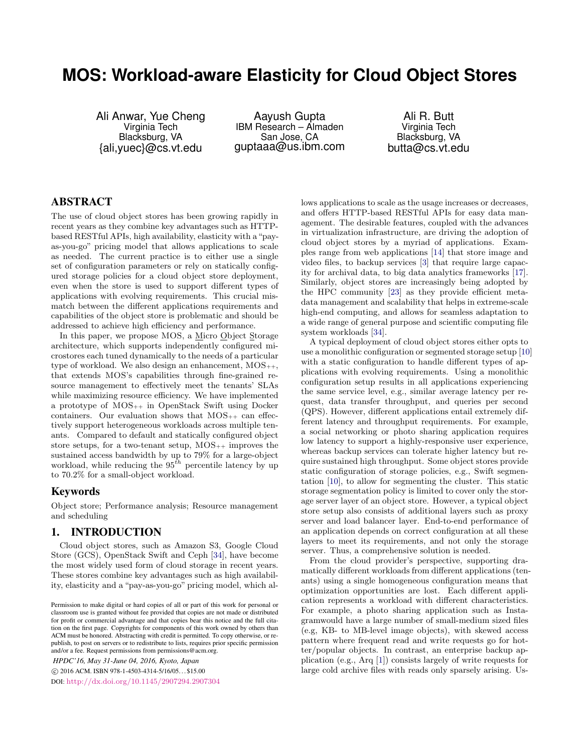# **MOS: Workload-aware Elasticity for Cloud Object Stores**

Ali Anwar, Yue Cheng Virginia Tech Blacksburg, VA {ali,yuec}@cs.vt.edu

Aayush Gupta IBM Research – Almaden San Jose, CA guptaaa@us.ibm.com

Ali R. Butt Virginia Tech Blacksburg, VA butta@cs.vt.edu

# ABSTRACT

The use of cloud object stores has been growing rapidly in recent years as they combine key advantages such as HTTPbased RESTful APIs, high availability, elasticity with a "payas-you-go" pricing model that allows applications to scale as needed. The current practice is to either use a single set of configuration parameters or rely on statically configured storage policies for a cloud object store deployment, even when the store is used to support different types of applications with evolving requirements. This crucial mismatch between the different applications requirements and capabilities of the object store is problematic and should be addressed to achieve high efficiency and performance.

In this paper, we propose MOS, a Micro Object Storage architecture, which supports independently configured microstores each tuned dynamically to the needs of a particular type of workload. We also design an enhancement,  $MOS_{++}$ , that extends MOS's capabilities through fine-grained resource management to effectively meet the tenants' SLAs while maximizing resource efficiency. We have implemented a prototype of MOS++ in OpenStack Swift using Docker containers. Our evaluation shows that  $MOS_{++}$  can effectively support heterogeneous workloads across multiple tenants. Compared to default and statically configured object store setups, for a two-tenant setup,  $MOS_{++}$  improves the sustained access bandwidth by up to 79% for a large-object workload, while reducing the  $95^{th}$  percentile latency by up to 70.2% for a small-object workload.

# Keywords

Object store; Performance analysis; Resource management and scheduling

# <span id="page-0-0"></span>1. INTRODUCTION

Cloud object stores, such as Amazon S3, Google Cloud Store (GCS), OpenStack Swift and Ceph [\[34\]](#page-11-0), have become the most widely used form of cloud storage in recent years. These stores combine key advantages such as high availability, elasticity and a "pay-as-you-go" pricing model, which al-

*HPDC'16, May 31-June 04, 2016, Kyoto, Japan* c 2016 ACM. ISBN 978-1-4503-4314-5/16/05. . . \$15.00

DOI: <http://dx.doi.org/10.1145/2907294.2907304>

lows applications to scale as the usage increases or decreases, and offers HTTP-based RESTful APIs for easy data management. The desirable features, coupled with the advances in virtualization infrastructure, are driving the adoption of cloud object stores by a myriad of applications. Examples range from web applications [\[14\]](#page-11-1) that store image and video files, to backup services [\[3\]](#page-11-2) that require large capacity for archival data, to big data analytics frameworks [\[17\]](#page-11-3). Similarly, object stores are increasingly being adopted by the HPC community [\[23\]](#page-11-4) as they provide efficient metadata management and scalability that helps in extreme-scale high-end computing, and allows for seamless adaptation to a wide range of general purpose and scientific computing file system workloads [\[34\]](#page-11-0).

A typical deployment of cloud object stores either opts to use a monolithic configuration or segmented storage setup [\[10\]](#page-11-5) with a static configuration to handle different types of applications with evolving requirements. Using a monolithic configuration setup results in all applications experiencing the same service level, e.g., similar average latency per request, data transfer throughput, and queries per second (QPS). However, different applications entail extremely different latency and throughput requirements. For example, a social networking or photo sharing application requires low latency to support a highly-responsive user experience, whereas backup services can tolerate higher latency but require sustained high throughput. Some object stores provide static configuration of storage policies, e.g., Swift segmentation [\[10\]](#page-11-5), to allow for segmenting the cluster. This static storage segmentation policy is limited to cover only the storage server layer of an object store. However, a typical object store setup also consists of additional layers such as proxy server and load balancer layer. End-to-end performance of an application depends on correct configuration at all these layers to meet its requirements, and not only the storage server. Thus, a comprehensive solution is needed.

From the cloud provider's perspective, supporting dramatically different workloads from different applications (tenants) using a single homogeneous configuration means that optimization opportunities are lost. Each different application represents a workload with different characteristics. For example, a photo sharing application such as Instagramwould have a large number of small-medium sized files (e.g, KB- to MB-level image objects), with skewed access pattern where frequent read and write requests go for hotter/popular objects. In contrast, an enterprise backup application (e.g., Arq [\[1\]](#page-11-6)) consists largely of write requests for large cold archive files with reads only sparsely arising. Us-

Permission to make digital or hard copies of all or part of this work for personal or classroom use is granted without fee provided that copies are not made or distributed for profit or commercial advantage and that copies bear this notice and the full citation on the first page. Copyrights for components of this work owned by others than ACM must be honored. Abstracting with credit is permitted. To copy otherwise, or republish, to post on servers or to redistribute to lists, requires prior specific permission and/or a fee. Request permissions from permissions@acm.org.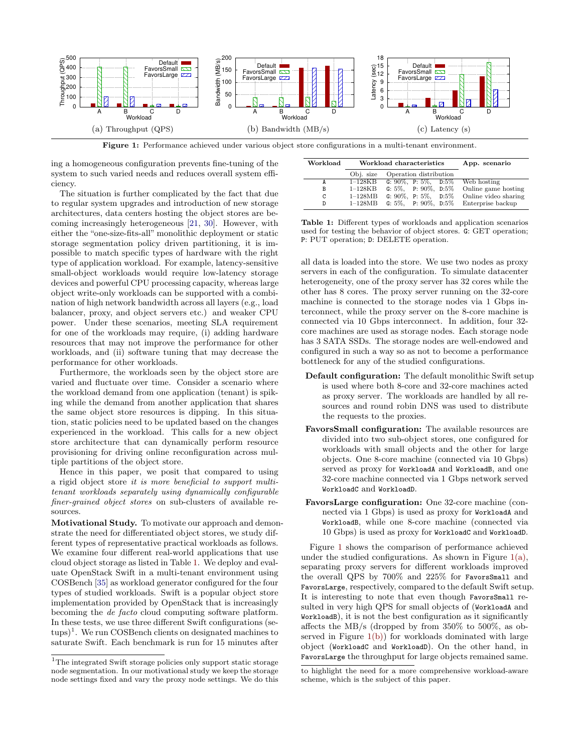<span id="page-1-2"></span><span id="page-1-1"></span>

Figure 1: Performance achieved under various object store configurations in a multi-tenant environment.

ing a homogeneous configuration prevents fine-tuning of the system to such varied needs and reduces overall system efficiency.

The situation is further complicated by the fact that due to regular system upgrades and introduction of new storage architectures, data centers hosting the object stores are becoming increasingly heterogeneous [\[21,](#page-11-7) [30\]](#page-11-8). However, with either the "one-size-fits-all" monolithic deployment or static storage segmentation policy driven partitioning, it is impossible to match specific types of hardware with the right type of application workload. For example, latency-sensitive small-object workloads would require low-latency storage devices and powerful CPU processing capacity, whereas large object write-only workloads can be supported with a combination of high network bandwidth across all layers (e.g., load balancer, proxy, and object servers etc.) and weaker CPU power. Under these scenarios, meeting SLA requirement for one of the workloads may require, (i) adding hardware resources that may not improve the performance for other workloads, and (ii) software tuning that may decrease the performance for other workloads.

Furthermore, the workloads seen by the object store are varied and fluctuate over time. Consider a scenario where the workload demand from one application (tenant) is spiking while the demand from another application that shares the same object store resources is dipping. In this situation, static policies need to be updated based on the changes experienced in the workload. This calls for a new object store architecture that can dynamically perform resource provisioning for driving online reconfiguration across multiple partitions of the object store.

Hence in this paper, we posit that compared to using a rigid object store it is more beneficial to support multitenant workloads separately using dynamically configurable finer-grained object stores on sub-clusters of available resources.

Motivational Study. To motivate our approach and demonstrate the need for differentiated object stores, we study different types of representative practical workloads as follows. We examine four different real-world applications that use cloud object storage as listed in Table [1.](#page-1-0) We deploy and evaluate OpenStack Swift in a multi-tenant environment using COSBench [\[35\]](#page-11-9) as workload generator configured for the four types of studied workloads. Swift is a popular object store implementation provided by OpenStack that is increasingly becoming the de facto cloud computing software platform. In these tests, we use three different Swift configurations (setups)<sup>1</sup>. We run COSBench clients on designated machines to saturate Swift. Each benchmark is run for 15 minutes after

<span id="page-1-4"></span><span id="page-1-3"></span><span id="page-1-0"></span>

| Workload |           | Workload characteristics        | App. scenario        |
|----------|-----------|---------------------------------|----------------------|
|          | Obj. size | Operation distribution          |                      |
| A        | $1-128KB$ | G: $90\%$ , P: $5\%$ , D: $5\%$ | Web hosting          |
| В        | $1-128KB$ | G: $5\%$ , P: $90\%$ , D: $5\%$ | Online game hosting  |
| C        | $1-128MB$ | G: $90\%$ , P: $5\%$ , D: $5\%$ | Online video sharing |
| D        | $1-128MB$ | G: $5\%$ , P: $90\%$ , D: $5\%$ | Enterprise backup    |

Table 1: Different types of workloads and application scenarios used for testing the behavior of object stores. G: GET operation; P: PUT operation; D: DELETE operation.

all data is loaded into the store. We use two nodes as proxy servers in each of the configuration. To simulate datacenter heterogeneity, one of the proxy server has 32 cores while the other has 8 cores. The proxy server running on the 32-core machine is connected to the storage nodes via 1 Gbps interconnect, while the proxy server on the 8-core machine is connected via 10 Gbps interconnect. In addition, four 32 core machines are used as storage nodes. Each storage node has 3 SATA SSDs. The storage nodes are well-endowed and configured in such a way so as not to become a performance bottleneck for any of the studied configurations.

- Default configuration: The default monolithic Swift setup is used where both 8-core and 32-core machines acted as proxy server. The workloads are handled by all resources and round robin DNS was used to distribute the requests to the proxies.
- FavorsSmall configuration: The available resources are divided into two sub-object stores, one configured for workloads with small objects and the other for large objects. One 8-core machine (connected via 10 Gbps) served as proxy for WorkloadA and WorkloadB, and one 32-core machine connected via 1 Gbps network served WorkloadC and WorkloadD.
- FavorsLarge configuration: One 32-core machine (connected via 1 Gbps) is used as proxy for WorkloadA and WorkloadB, while one 8-core machine (connected via 10 Gbps) is used as proxy for WorkloadC and WorkloadD.

Figure [1](#page-1-1) shows the comparison of performance achieved under the studied configurations. As shown in Figure  $1(a)$ , separating proxy servers for different workloads improved the overall QPS by 700% and 225% for FavorsSmall and FavorsLarge, respectively, compared to the default Swift setup. It is interesting to note that even though FavorsSmall resulted in very high QPS for small objects of (WorkloadA and WorkloadB), it is not the best configuration as it significantly affects the MB/s (dropped by from 350% to 500%, as observed in Figure  $1(b)$  for workloads dominated with large object (WorkloadC and WorkloadD). On the other hand, in FavorsLarge the throughput for large objects remained same.

 $^{\rm 1}{\rm The}$  integrated Swift storage policies only support static storage node segmentation. In our motivational study we keep the storage node settings fixed and vary the proxy node settings. We do this

to highlight the need for a more comprehensive workload-aware scheme, which is the subject of this paper.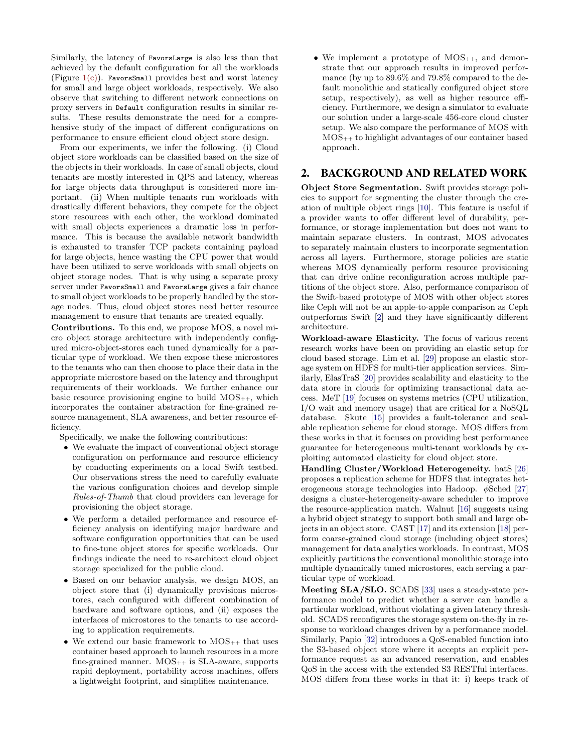Similarly, the latency of FavorsLarge is also less than that achieved by the default configuration for all the workloads (Figure [1\(c\)\)](#page-1-4). FavorsSmall provides best and worst latency for small and large object workloads, respectively. We also observe that switching to different network connections on proxy servers in Default configuration results in similar results. These results demonstrate the need for a comprehensive study of the impact of different configurations on performance to ensure efficient cloud object store design.

From our experiments, we infer the following. (i) Cloud object store workloads can be classified based on the size of the objects in their workloads. In case of small objects, cloud tenants are mostly interested in QPS and latency, whereas for large objects data throughput is considered more important. (ii) When multiple tenants run workloads with drastically different behaviors, they compete for the object store resources with each other, the workload dominated with small objects experiences a dramatic loss in performance. This is because the available network bandwidth is exhausted to transfer TCP packets containing payload for large objects, hence wasting the CPU power that would have been utilized to serve workloads with small objects on object storage nodes. That is why using a separate proxy server under FavorsSmall and FavorsLarge gives a fair chance to small object workloads to be properly handled by the storage nodes. Thus, cloud object stores need better resource management to ensure that tenants are treated equally.

Contributions. To this end, we propose MOS, a novel micro object storage architecture with independently configured micro-object-stores each tuned dynamically for a particular type of workload. We then expose these microstores to the tenants who can then choose to place their data in the appropriate microstore based on the latency and throughput requirements of their workloads. We further enhance our basic resource provisioning engine to build  $MOS_{++}$ , which incorporates the container abstraction for fine-grained resource management, SLA awareness, and better resource efficiency.

Specifically, we make the following contributions:

- We evaluate the impact of conventional object storage configuration on performance and resource efficiency by conducting experiments on a local Swift testbed. Our observations stress the need to carefully evaluate the various configuration choices and develop simple Rules-of-Thumb that cloud providers can leverage for provisioning the object storage.
- We perform a detailed performance and resource efficiency analysis on identifying major hardware and software configuration opportunities that can be used to fine-tune object stores for specific workloads. Our findings indicate the need to re-architect cloud object storage specialized for the public cloud.
- Based on our behavior analysis, we design MOS, an object store that (i) dynamically provisions microstores, each configured with different combination of hardware and software options, and (ii) exposes the interfaces of microstores to the tenants to use according to application requirements.
- We extend our basic framework to  $MOS_{++}$  that uses container based approach to launch resources in a more fine-grained manner.  $MOS_{++}$  is  $SLA$ -aware, supports rapid deployment, portability across machines, offers a lightweight footprint, and simplifies maintenance.

• We implement a prototype of  $MOS_{++}$ , and demonstrate that our approach results in improved performance (by up to 89.6% and 79.8% compared to the default monolithic and statically configured object store setup, respectively), as well as higher resource efficiency. Furthermore, we design a simulator to evaluate our solution under a large-scale 456-core cloud cluster setup. We also compare the performance of MOS with MOS++ to highlight advantages of our container based approach.

## 2. BACKGROUND AND RELATED WORK

Object Store Segmentation. Swift provides storage policies to support for segmenting the cluster through the creation of multiple object rings [\[10\]](#page-11-5). This feature is useful if a provider wants to offer different level of durability, performance, or storage implementation but does not want to maintain separate clusters. In contrast, MOS advocates to separately maintain clusters to incorporate segmentation across all layers. Furthermore, storage policies are static whereas MOS dynamically perform resource provisioning that can drive online reconfiguration across multiple partitions of the object store. Also, performance comparison of the Swift-based prototype of MOS with other object stores like Ceph will not be an apple-to-apple comparison as Ceph outperforms Swift [\[2\]](#page-11-10) and they have significantly different architecture.

Workload-aware Elasticity. The focus of various recent research works have been on providing an elastic setup for cloud based storage. Lim et al. [\[29\]](#page-11-11) propose an elastic storage system on HDFS for multi-tier application services. Similarly, ElasTraS [\[20\]](#page-11-12) provides scalability and elasticity to the data store in clouds for optimizing transactional data access. MeT [\[19\]](#page-11-13) focuses on systems metrics (CPU utilization, I/O wait and memory usage) that are critical for a NoSQL database. Skute [\[15\]](#page-11-14) provides a fault-tolerance and scalable replication scheme for cloud storage. MOS differs from these works in that it focuses on providing best performance guarantee for heterogeneous multi-tenant workloads by exploiting automated elasticity for cloud object store.

Handling Cluster/Workload Heterogeneity. hatS [\[26\]](#page-11-15) proposes a replication scheme for HDFS that integrates heterogeneous storage technologies into Hadoop. φSched [\[27\]](#page-11-16) designs a cluster-heterogeneity-aware scheduler to improve the resource-application match. Walnut [\[16\]](#page-11-17) suggests using a hybrid object strategy to support both small and large objects in an object store. CAST [\[17\]](#page-11-3) and its extension [\[18\]](#page-11-18) perform coarse-grained cloud storage (including object stores) management for data analytics workloads. In contrast, MOS explicitly partitions the conventional monolithic storage into multiple dynamically tuned microstores, each serving a particular type of workload.

Meeting SLA/SLO. SCADS [\[33\]](#page-11-19) uses a steady-state performance model to predict whether a server can handle a particular workload, without violating a given latency threshold. SCADS reconfigures the storage system on-the-fly in response to workload changes driven by a performance model. Similarly, Papio [\[32\]](#page-11-20) introduces a QoS-enabled function into the S3-based object store where it accepts an explicit performance request as an advanced reservation, and enables QoS in the access with the extended S3 RESTful interfaces. MOS differs from these works in that it: i) keeps track of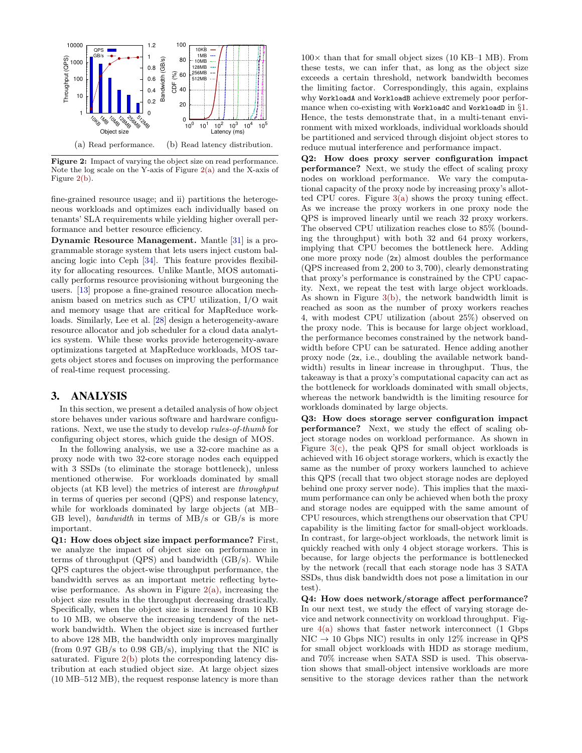<span id="page-3-0"></span>

<span id="page-3-1"></span>Figure 2: Impact of varying the object size on read performance. Note the log scale on the Y-axis of Figure [2\(a\)](#page-3-0) and the X-axis of Figure [2\(b\).](#page-3-1)

fine-grained resource usage; and ii) partitions the heterogeneous workloads and optimizes each individually based on tenants' SLA requirements while yielding higher overall performance and better resource efficiency.

Dynamic Resource Management. Mantle [\[31\]](#page-11-21) is a programmable storage system that lets users inject custom balancing logic into Ceph [\[34\]](#page-11-0). This feature provides flexibility for allocating resources. Unlike Mantle, MOS automatically performs resource provisioning without burgeoning the users. [\[13\]](#page-11-22) propose a fine-grained resource allocation mechanism based on metrics such as CPU utilization, I/O wait and memory usage that are critical for MapReduce workloads. Similarly, Lee et al. [\[28\]](#page-11-23) design a heterogeneity-aware resource allocator and job scheduler for a cloud data analytics system. While these works provide heterogeneity-aware optimizations targeted at MapReduce workloads, MOS targets object stores and focuses on improving the performance of real-time request processing.

#### <span id="page-3-2"></span>3. ANALYSIS

In this section, we present a detailed analysis of how object store behaves under various software and hardware configurations. Next, we use the study to develop rules-of-thumb for configuring object stores, which guide the design of MOS.

In the following analysis, we use a 32-core machine as a proxy node with two 32-core storage nodes each equipped with 3 SSDs (to eliminate the storage bottleneck), unless mentioned otherwise. For workloads dominated by small objects (at KB level) the metrics of interest are throughput in terms of queries per second (QPS) and response latency, while for workloads dominated by large objects (at MB– GB level), bandwidth in terms of MB/s or GB/s is more important.

Q1: How does object size impact performance? First, we analyze the impact of object size on performance in terms of throughput (QPS) and bandwidth (GB/s). While QPS captures the object-wise throughput performance, the bandwidth serves as an important metric reflecting bytewise performance. As shown in Figure  $2(a)$ , increasing the object size results in the throughput decreasing drastically. Specifically, when the object size is increased from 10 KB to 10 MB, we observe the increasing tendency of the network bandwidth. When the object size is increased further to above 128 MB, the bandwidth only improves marginally (from 0.97 GB/s to 0.98 GB/s), implying that the NIC is saturated. Figure [2\(b\)](#page-3-1) plots the corresponding latency distribution at each studied object size. At large object sizes (10 MB–512 MB), the request response latency is more than

 $100\times$  than that for small object sizes (10 KB–1 MB). From these tests, we can infer that, as long as the object size exceeds a certain threshold, network bandwidth becomes the limiting factor. Correspondingly, this again, explains why WorkloadA and WorkloadB achieve extremely poor perfor-mance when co-existing with WorkloadC and WorkloadD in §[1](#page-0-0). Hence, the tests demonstrate that, in a multi-tenant environment with mixed workloads, individual workloads should be partitioned and serviced through disjoint object stores to reduce mutual interference and performance impact.

Q2: How does proxy server configuration impact performance? Next, we study the effect of scaling proxy nodes on workload performance. We vary the computational capacity of the proxy node by increasing proxy's allotted CPU cores. Figure  $3(a)$  shows the proxy tuning effect. As we increase the proxy workers in one proxy node the QPS is improved linearly until we reach 32 proxy workers. The observed CPU utilization reaches close to 85% (bounding the throughput) with both 32 and 64 proxy workers, implying that CPU becomes the bottleneck here. Adding one more proxy node (2x) almost doubles the performance (QPS increased from 2, 200 to 3, 700), clearly demonstrating that proxy's performance is constrained by the CPU capacity. Next, we repeat the test with large object workloads. As shown in Figure [3\(b\),](#page-4-1) the network bandwidth limit is reached as soon as the number of proxy workers reaches 4, with modest CPU utilization (about 25%) observed on the proxy node. This is because for large object workload, the performance becomes constrained by the network bandwidth before CPU can be saturated. Hence adding another proxy node (2x, i.e., doubling the available network bandwidth) results in linear increase in throughput. Thus, the takeaway is that a proxy's computational capacity can act as the bottleneck for workloads dominated with small objects, whereas the network bandwidth is the limiting resource for workloads dominated by large objects.

Q3: How does storage server configuration impact performance? Next, we study the effect of scaling object storage nodes on workload performance. As shown in Figure [3\(c\),](#page-4-2) the peak QPS for small object workloads is achieved with 16 object storage workers, which is exactly the same as the number of proxy workers launched to achieve this QPS (recall that two object storage nodes are deployed behind one proxy server node). This implies that the maximum performance can only be achieved when both the proxy and storage nodes are equipped with the same amount of CPU resources, which strengthens our observation that CPU capability is the limiting factor for small-object workloads. In contrast, for large-object workloads, the network limit is quickly reached with only 4 object storage workers. This is because, for large objects the performance is bottlenecked by the network (recall that each storage node has 3 SATA SSDs, thus disk bandwidth does not pose a limitation in our test).

Q4: How does network/storage affect performance? In our next test, we study the effect of varying storage device and network connectivity on workload throughput. Figure  $4(a)$  shows that faster network interconnect (1 Gbps  $NIC \rightarrow 10$  Gbps NIC) results in only 12% increase in QPS for small object workloads with HDD as storage medium, and 70% increase when SATA SSD is used. This observation shows that small-object intensive workloads are more sensitive to the storage devices rather than the network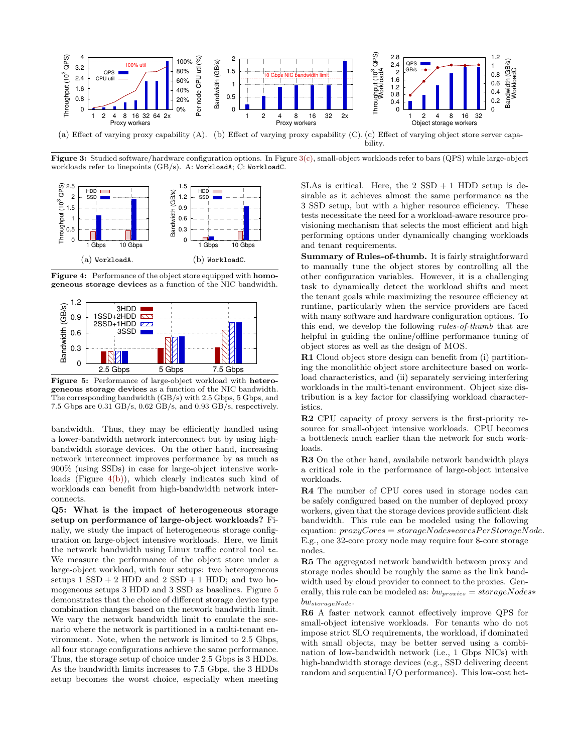<span id="page-4-0"></span>

Figure 3: Studied software/hardware configuration options. In Figure [3\(c\),](#page-4-2) small-object workloads refer to bars (QPS) while large-object workloads refer to linepoints (GB/s). A: WorkloadA; C: WorkloadC.

<span id="page-4-3"></span>

<span id="page-4-5"></span><span id="page-4-4"></span>Figure 4: Performance of the object store equipped with homogeneous storage devices as a function of the NIC bandwidth.



Figure 5: Performance of large-object workload with heterogeneous storage devices as a function of the NIC bandwidth. The corresponding bandwidth (GB/s) with 2.5 Gbps, 5 Gbps, and 7.5 Gbps are 0.31 GB/s, 0.62 GB/s, and 0.93 GB/s, respectively.

bandwidth. Thus, they may be efficiently handled using a lower-bandwidth network interconnect but by using highbandwidth storage devices. On the other hand, increasing network interconnect improves performance by as much as 900% (using SSDs) in case for large-object intensive workloads (Figure [4\(b\)\)](#page-4-4), which clearly indicates such kind of workloads can benefit from high-bandwidth network interconnects.

Q5: What is the impact of heterogeneous storage setup on performance of large-object workloads? Finally, we study the impact of heterogeneous storage configuration on large-object intensive workloads. Here, we limit the network bandwidth using Linux traffic control tool tc. We measure the performance of the object store under a large-object workload, with four setups: two heterogeneous setups  $1$  SSD  $+$  2 HDD and  $2$  SSD  $+$  1 HDD; and two homogeneous setups 3 HDD and 3 SSD as baselines. Figure [5](#page-4-5) demonstrates that the choice of different storage device type combination changes based on the network bandwidth limit. We vary the network bandwidth limit to emulate the scenario where the network is partitioned in a multi-tenant environment. Note, when the network is limited to 2.5 Gbps, all four storage configurations achieve the same performance. Thus, the storage setup of choice under 2.5 Gbps is 3 HDDs. As the bandwidth limits increases to 7.5 Gbps, the 3 HDDs setup becomes the worst choice, especially when meeting

<span id="page-4-2"></span><span id="page-4-1"></span>SLAs is critical. Here, the  $2$  SSD  $+$  1 HDD setup is desirable as it achieves almost the same performance as the 3 SSD setup, but with a higher resource efficiency. These tests necessitate the need for a workload-aware resource provisioning mechanism that selects the most efficient and high performing options under dynamically changing workloads and tenant requirements.

Summary of Rules-of-thumb. It is fairly straightforward to manually tune the object stores by controlling all the other configuration variables. However, it is a challenging task to dynamically detect the workload shifts and meet the tenant goals while maximizing the resource efficiency at runtime, particularly when the service providers are faced with many software and hardware configuration options. To this end, we develop the following rules-of-thumb that are helpful in guiding the online/offline performance tuning of object stores as well as the design of MOS.

R1 Cloud object store design can benefit from (i) partitioning the monolithic object store architecture based on workload characteristics, and (ii) separately servicing interfering workloads in the multi-tenant environment. Object size distribution is a key factor for classifying workload characteristics.

R2 CPU capacity of proxy servers is the first-priority resource for small-object intensive workloads. CPU becomes a bottleneck much earlier than the network for such workloads.

R3 On the other hand, availabile network bandwidth plays a critical role in the performance of large-object intensive workloads.

R4 The number of CPU cores used in storage nodes can be safely configured based on the number of deployed proxy workers, given that the storage devices provide sufficient disk bandwidth. This rule can be modeled using the following equation:  $proxyCores = storageNodes*coresPerStorageNode$ . E.g., one 32-core proxy node may require four 8-core storage nodes.

R5 The aggregated network bandwidth between proxy and storage nodes should be roughly the same as the link bandwidth used by cloud provider to connect to the proxies. Generally, this rule can be modeled as:  $bw_{proxies} = storageNodes*$  $bw_{storageNode}$ .

R6 A faster network cannot effectively improve QPS for small-object intensive workloads. For tenants who do not impose strict SLO requirements, the workload, if dominated with small objects, may be better served using a combination of low-bandwidth network (i.e., 1 Gbps NICs) with high-bandwidth storage devices (e.g., SSD delivering decent random and sequential I/O performance). This low-cost het-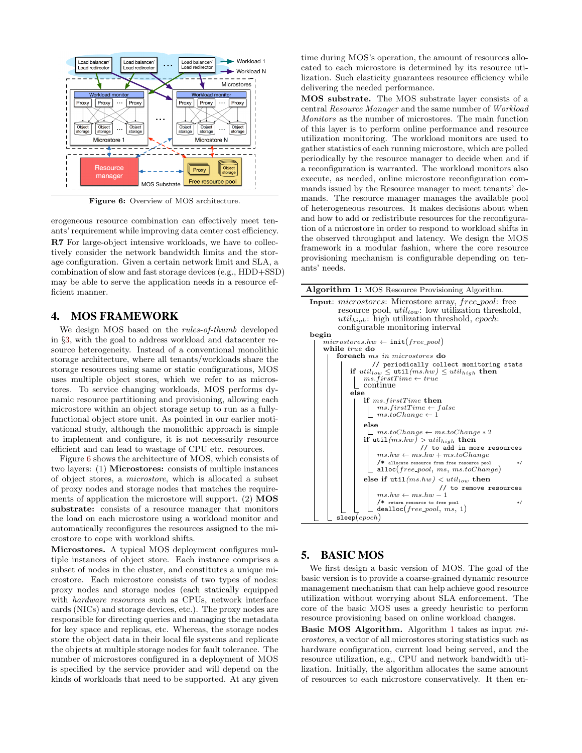<span id="page-5-0"></span>

Figure 6: Overview of MOS architecture.

erogeneous resource combination can effectively meet tenants' requirement while improving data center cost efficiency. R7 For large-object intensive workloads, we have to collectively consider the network bandwidth limits and the storage configuration. Given a certain network limit and SLA, a combination of slow and fast storage devices (e.g., HDD+SSD) may be able to serve the application needs in a resource efficient manner.

#### 4. MOS FRAMEWORK

We design MOS based on the rules-of-thumb developed in §[3](#page-3-2), with the goal to address workload and datacenter resource heterogeneity. Instead of a conventional monolithic storage architecture, where all tenants/workloads share the storage resources using same or static configurations, MOS uses multiple object stores, which we refer to as microstores. To service changing workloads, MOS performs dynamic resource partitioning and provisioning, allowing each microstore within an object storage setup to run as a fullyfunctional object store unit. As pointed in our earlier motivational study, although the monolithic approach is simple to implement and configure, it is not necessarily resource efficient and can lead to wastage of CPU etc. resources.

Figure [6](#page-5-0) shows the architecture of MOS, which consists of two layers: (1) Microstores: consists of multiple instances of object stores, a microstore, which is allocated a subset of proxy nodes and storage nodes that matches the requirements of application the microstore will support. (2) MOS substrate: consists of a resource manager that monitors the load on each microstore using a workload monitor and automatically reconfigures the resources assigned to the microstore to cope with workload shifts.

Microstores. A typical MOS deployment configures multiple instances of object store. Each instance comprises a subset of nodes in the cluster, and constitutes a unique microstore. Each microstore consists of two types of nodes: proxy nodes and storage nodes (each statically equipped with hardware resources such as CPUs, network interface cards (NICs) and storage devices, etc.). The proxy nodes are responsible for directing queries and managing the metadata for key space and replicas, etc. Whereas, the storage nodes store the object data in their local file systems and replicate the objects at multiple storage nodes for fault tolerance. The number of microstores configured in a deployment of MOS is specified by the service provider and will depend on the kinds of workloads that need to be supported. At any given

time during MOS's operation, the amount of resources allocated to each microstore is determined by its resource utilization. Such elasticity guarantees resource efficiency while delivering the needed performance.

MOS substrate. The MOS substrate layer consists of a central Resource Manager and the same number of Workload Monitors as the number of microstores. The main function of this layer is to perform online performance and resource utilization monitoring. The workload monitors are used to gather statistics of each running microstore, which are polled periodically by the resource manager to decide when and if a reconfiguration is warranted. The workload monitors also execute, as needed, online microstore reconfiguration commands issued by the Resource manager to meet tenants' demands. The resource manager manages the available pool of heterogeneous resources. It makes decisions about when and how to add or redistribute resources for the reconfiguration of a microstore in order to respond to workload shifts in the observed throughput and latency. We design the MOS framework in a modular fashion, where the core resource provisioning mechanism is configurable depending on tenants' needs.

| <b>Algorithm 1:</b> MOS Resource Provisioning Algorithm.                                                                                                                                                                                                                                                                                                             |  |  |  |  |  |
|----------------------------------------------------------------------------------------------------------------------------------------------------------------------------------------------------------------------------------------------------------------------------------------------------------------------------------------------------------------------|--|--|--|--|--|
| <b>Input:</b> microstores: Microstore array, free_pool: free<br>resource pool, $util_{low}$ : low utilization threshold,<br>$util_{high}$ : high utilization threshold, epoch:<br>configurable monitoring interval                                                                                                                                                   |  |  |  |  |  |
| begin                                                                                                                                                                                                                                                                                                                                                                |  |  |  |  |  |
| $microstores.hw \leftarrow init(free\_pool)$<br>while true do                                                                                                                                                                                                                                                                                                        |  |  |  |  |  |
| foreach ms in microstores do                                                                                                                                                                                                                                                                                                                                         |  |  |  |  |  |
| // periodically collect monitoring stats<br>if $util_{low} \leq \text{util}(ms.hw) \leq util_{high}$ then<br>$ms.firstTime \leftarrow true$<br>continue<br>else<br>if $ms.firstTime$ then<br>$ms. firstTime \leftarrow false$<br>$\lfloor ms.toChange \leftarrow 1$<br>else<br>$\perp ms.toChange \leftarrow ms.toChange * 2$<br>if $util(ms.hw) > util_{high}$ then |  |  |  |  |  |
| // to add in more resources<br>$ms.hw \leftarrow ms.hw + ms.toChange$<br>/* allocate resource from free resource pool<br>*/                                                                                                                                                                                                                                          |  |  |  |  |  |
| $\text{alloc}(free\_pool, ms, ms, toChange)$                                                                                                                                                                                                                                                                                                                         |  |  |  |  |  |
| else if $util(ms.hw) < util_{low}$ then                                                                                                                                                                                                                                                                                                                              |  |  |  |  |  |
| // to remove resources<br>$ms.hw \leftarrow ms.hw - 1$                                                                                                                                                                                                                                                                                                               |  |  |  |  |  |
| /* return resource to free pool<br>*/                                                                                                                                                                                                                                                                                                                                |  |  |  |  |  |
| $deadloc(free\_pool, ms, 1)$                                                                                                                                                                                                                                                                                                                                         |  |  |  |  |  |
| $\mathtt{sleep}(epoch)$                                                                                                                                                                                                                                                                                                                                              |  |  |  |  |  |

# <span id="page-5-1"></span>5. BASIC MOS

We first design a basic version of MOS. The goal of the basic version is to provide a coarse-grained dynamic resource management mechanism that can help achieve good resource utilization without worrying about SLA enforcement. The core of the basic MOS uses a greedy heuristic to perform resource provisioning based on online workload changes.

Basic MOS Algorithm. Algorithm [1](#page-5-1) takes as input microstores, a vector of all microstores storing statistics such as hardware configuration, current load being served, and the resource utilization, e.g., CPU and network bandwidth utilization. Initially, the algorithm allocates the same amount of resources to each microstore conservatively. It then en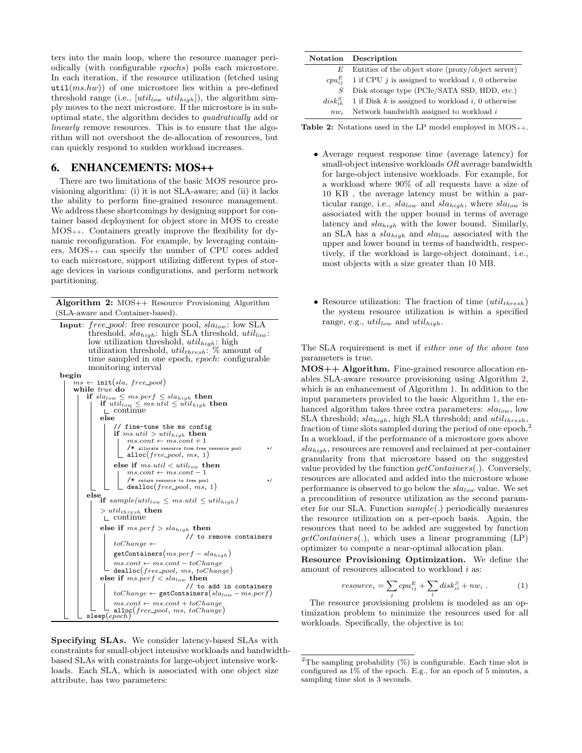ters into the main loop, where the resource manager periodically (with configurable epochs) polls each microstore. In each iteration, if the resource utilization (fetched using util $(ms,hw)$  of one microstore lies within a pre-defined threshold range (i.e.,  $[util_{low}$   $util_{high}]$ ), the algorithm simply moves to the next microstore. If the microstore is in suboptimal state, the algorithm decides to quadratically add or linearly remove resources. This is to ensure that the algorithm will not overshoot the de-allocation of resources, but can quickly respond to sudden workload increases.

## 6. ENHANCEMENTS: MOS++

There are two limitations of the basic MOS resource provisioning algorithm: (i) it is not SLA-aware; and (ii) it lacks the ability to perform fine-grained resource management. We address these shortcomings by designing support for container based deployment for object store in MOS to create MOS++. Containers greatly improve the flexibility for dynamic reconfiguration. For example, by leveraging containers, MOS++ can specify the number of CPU cores added to each microstore, support utilizing different types of storage devices in various configurations, and perform network partitioning.

Algorithm 2: MOS++ Resource Provisioning Algorithm (SLA-aware and Container-based).

```
Input: free_pool: free resource pool, sla_{low}: low SLA
          threshold, sla_{high}: high SLA threshold, util_{low}:
          low utilization threshold, util_{high}: high
          utilization threshold, util_{thresh}: \% amount of
          time sampled in one epoch, epoch: configurable
          monitoring interval
begin
         \leftarrow init(sla, free\_pool)while true do
          if sla_{low} \leq ms.perf \leq sla_{high} then<br>| if util_{low} \leq ms.util \leq util_{high} then
               \sqsubset continue
              else
                   // fine-tune the ms config
                  if ms.util > util_{high} then
                       ms.contrib \leftarrow ms.contrib + 1/* allocate resource from free resource pool */
                       alloc(free\_pool, ms, 1)else if ms.util < util_{low} then
                        ms.contrib \leftarrow ms.contrib - 1/* return resource to free pool */
                       deadloc(free\_pool, ms, 1)else<br>
if sample(util_{low} \leq ms.util \leq util_{high})> util_{thresh} then<br>\perp continue
              else if ms.perf > sla_{high} then
                                            // to remove containers
                   toChange \leftarrow\mathtt{getContents}\big(ms.per f - sla_{high}\big)ms.com \leftarrow mscont - toChangedealloc(free\_pool, ms, toChange)else if ms.perf < sla_{low} then
                                            // to add in containers
                   toChange \leftarrow \texttt{getContents}\big(sla_{low} - ms.perf\big)ms.contrib \leftarrow ms.contrib + toChange\text{all} \text{oc}(free\_pool, \text{ms}, \text{toChange})\mathsf{sleep}(\mathit{epoch})
```
<span id="page-6-0"></span>

<span id="page-6-1"></span>

|        | <b>Notation</b> Description                                      |
|--------|------------------------------------------------------------------|
| E      | Entities of the object store (proxy/object server)               |
|        | $cpu_{ij}^{E}$ 1 if CPU j is assigned to workload i, 0 otherwise |
| S      | Disk storage type (PCIe/SATA SSD, HDD, etc.)                     |
|        | $disk_{ik}^S$ 1 if Disk k is assigned to workload i, 0 otherwise |
| $nw_i$ | Network bandwidth assigned to workload i                         |

**Table 2:** Notations used in the LP model employed in  $MOS_{++}$ .

- Average request response time (average latency) for small-object intensive workloads OR average bandwidth for large-object intensive workloads. For example, for a workload where 90% of all requests have a size of 10 KB , the average latency must be within a particular range, i.e.,  $sla_{low}$  and  $sla_{high}$ , where  $sla_{low}$  is associated with the upper bound in terms of average latency and  $sla_{high}$  with the lower bound. Similarly, an SLA has a  $sla_{high}$  and  $sla_{low}$  associated with the upper and lower bound in terms of bandwidth, respectively, if the workload is large-object dominant, i.e., most objects with a size greater than 10 MB.
- Resource utilization: The fraction of time  $(util_{thresh})$ the system resource utilization is within a specified range, e.g.,  $util_{low}$  and  $util_{high}$ .

The SLA requirement is met if either one of the above two parameters is true.

MOS++ Algorithm. Fine-grained resource allocation enables SLA-aware resource provisioning using Algorithm [2,](#page-6-0) which is an enhancement of Algorithm [1.](#page-5-1) In addition to the input parameters provided to the basic Algorithm [1,](#page-5-1) the enhanced algorithm takes three extra parameters:  $sla_{low}$ , low SLA threshold;  $sla_{high}$ , high SLA threshold; and  $util_{thresh}$ , fraction of time slots sampled during the period of one epoch.<sup>2</sup> In a workload, if the performance of a microstore goes above  $sla_{high}$ , resources are removed and reclaimed at per-container granularity from that microstore based on the suggested value provided by the function  $getContainers(.)$ . Conversely, resources are allocated and added into the microstore whose performance is observed to go below the  $sla_{low}$  value. We set a precondition of resource utilization as the second parameter for our SLA. Function sample(.) periodically measures the resource utilization on a per-epoch basis. Again, the resources that need to be added are suggested by function  $getContents(.)$ , which uses a linear programming  $(LP)$ optimizer to compute a near-optimal allocation plan.

Resource Provisioning Optimization. We define the amount of resources allocated to workload  $i$  as:

$$
resource_i = \sum_{j} cpu_{ij}^{E} + \sum_{l} disk_{il}^{S} + nw_i .
$$
 (1)

The resource provisioning problem is modeled as an optimization problem to minimize the resources used for all workloads. Specifically, the objective is to:

 $^2 \mathrm{The}$  sampling probability (%) is configurable. Each time slot is configured as  $1\%$  of the epoch. E.g., for an epoch of 5 minutes, a sampling time slot is 3 seconds.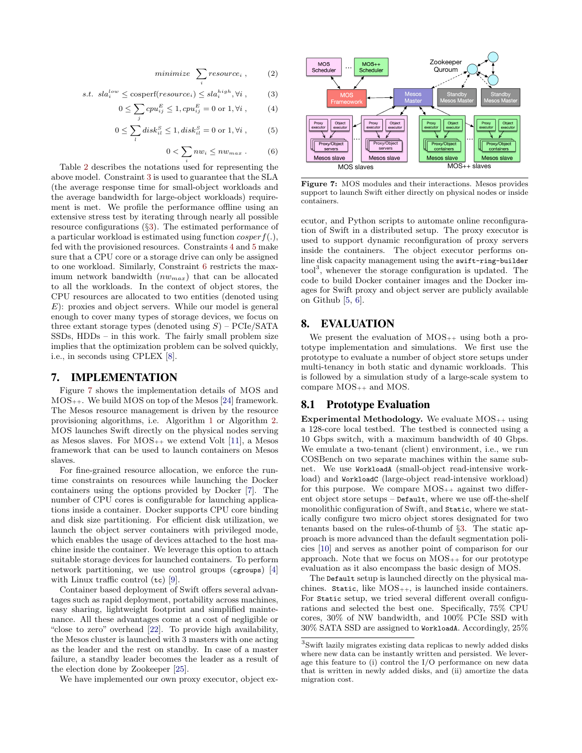$$
minimize \sum_{i} resource_i , \qquad (2)
$$

s.t. 
$$
sla_i^{low} \leq \text{cosperf}(resource_i) \leq sla_i^{high}, \forall i
$$
, (3)

$$
0 \le \sum_{j} c p u_{ij}^{E} \le 1, c p u_{ij}^{E} = 0 \text{ or } 1, \forall i , \qquad (4)
$$

$$
0 \le \sum_{l} disk_{il}^{S} \le 1, disk_{il}^{S} = 0 \text{ or } 1, \forall i , \qquad (5)
$$

$$
0 < \sum_{i} n w_i \leq n w_{max} \tag{6}
$$

Table [2](#page-6-1) describes the notations used for representing the above model. Constraint [3](#page-7-0) is used to guarantee that the SLA (the average response time for small-object workloads and the average bandwidth for large-object workloads) requirement is met. We profile the performance offline using an extensive stress test by iterating through nearly all possible resource configurations (§[3](#page-3-2)). The estimated performance of a particular workload is estimated using function  $\cos per f(.)$ , fed with the provisioned resources. Constraints [4](#page-7-1) and [5](#page-7-2) make sure that a CPU core or a storage drive can only be assigned to one workload. Similarly, Constraint [6](#page-7-3) restricts the maximum network bandwidth  $(nw_{max})$  that can be allocated to all the workloads. In the context of object stores, the CPU resources are allocated to two entities (denoted using  $E$ : proxies and object servers. While our model is general enough to cover many types of storage devices, we focus on three extant storage types (denoted using  $S$ ) – PCIe/SATA SSDs, HDDs – in this work. The fairly small problem size implies that the optimization problem can be solved quickly, i.e., in seconds using CPLEX [\[8\]](#page-11-24).

#### 7. IMPLEMENTATION

Figure [7](#page-7-4) shows the implementation details of MOS and  $MOS_{++}$ . We build  $MOS$  on top of the Mesos [\[24\]](#page-11-25) framework. The Mesos resource management is driven by the resource provisioning algorithms, i.e. Algorithm [1](#page-5-1) or Algorithm [2.](#page-6-0) MOS launches Swift directly on the physical nodes serving as Mesos slaves. For  $MOS_{++}$  we extend Volt [\[11\]](#page-11-26), a Mesos framework that can be used to launch containers on Mesos slaves.

For fine-grained resource allocation, we enforce the runtime constraints on resources while launching the Docker containers using the options provided by Docker [\[7\]](#page-11-27). The number of CPU cores is configurable for launching applications inside a container. Docker supports CPU core binding and disk size partitioning. For efficient disk utilization, we launch the object server containers with privileged mode, which enables the usage of devices attached to the host machine inside the container. We leverage this option to attach suitable storage devices for launched containers. To perform network partitioning, we use control groups (cgroups) [\[4\]](#page-11-28) with Linux traffic control (tc) [\[9\]](#page-11-29).

Container based deployment of Swift offers several advantages such as rapid deployment, portability across machines, easy sharing, lightweight footprint and simplified maintenance. All these advantages come at a cost of negligible or "close to zero" overhead [\[22\]](#page-11-30). To provide high availability, the Mesos cluster is launched with 3 masters with one acting as the leader and the rest on standby. In case of a master failure, a standby leader becomes the leader as a result of the election done by Zookeeper [\[25\]](#page-11-31).

We have implemented our own proxy executor, object ex-

<span id="page-7-4"></span><span id="page-7-1"></span><span id="page-7-0"></span>

<span id="page-7-3"></span><span id="page-7-2"></span>Figure 7: MOS modules and their interactions. Mesos provides support to launch Swift either directly on physical nodes or inside containers.

ecutor, and Python scripts to automate online reconfiguration of Swift in a distributed setup. The proxy executor is used to support dynamic reconfiguration of proxy servers inside the containers. The object executor performs online disk capacity management using the swift-ring-builder tool<sup>3</sup> , whenever the storage configuration is updated. The code to build Docker container images and the Docker images for Swift proxy and object server are publicly available on Github [\[5,](#page-11-32) [6\]](#page-11-33).

# 8. EVALUATION

We present the evaluation of  $MOS_{++}$  using both a prototype implementation and simulations. We first use the prototype to evaluate a number of object store setups under multi-tenancy in both static and dynamic workloads. This is followed by a simulation study of a large-scale system to compare MOS++ and MOS.

#### 8.1 Prototype Evaluation

Experimental Methodology. We evaluate  $MOS_{++}$  using a 128-core local testbed. The testbed is connected using a 10 Gbps switch, with a maximum bandwidth of 40 Gbps. We emulate a two-tenant (client) environment, i.e., we run COSBench on two separate machines within the same subnet. We use WorkloadA (small-object read-intensive workload) and WorkloadC (large-object read-intensive workload) for this purpose. We compare  $MOS_{++}$  against two different object store setups – Default, where we use off-the-shelf monolithic configuration of Swift, and Static, where we statically configure two micro object stores designated for two tenants based on the rules-of-thumb of §[3.](#page-3-2) The static approach is more advanced than the default segmentation policies [\[10\]](#page-11-5) and serves as another point of comparison for our approach. Note that we focus on  $MOS_{++}$  for our prototype evaluation as it also encompass the basic design of MOS.

The Default setup is launched directly on the physical machines. Static, like MOS++, is launched inside containers. For Static setup, we tried several different overall configurations and selected the best one. Specifically, 75% CPU cores, 30% of NW bandwidth, and 100% PCIe SSD with 30% SATA SSD are assigned to WorkloadA. Accordingly, 25%

<sup>3</sup> Swift lazily migrates existing data replicas to newly added disks where new data can be instantly written and persisted. We leverage this feature to (i) control the I/O performance on new data that is written in newly added disks, and (ii) amortize the data migration cost.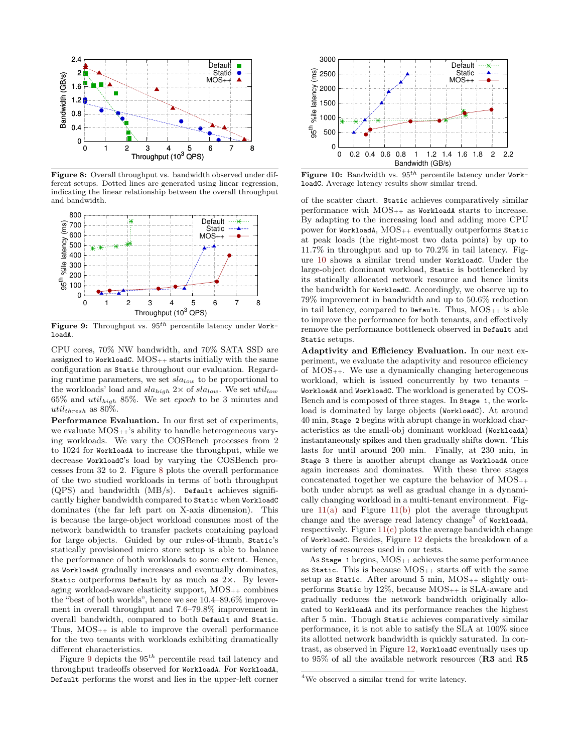<span id="page-8-0"></span>

Figure 8: Overall throughput vs. bandwidth observed under different setups. Dotted lines are generated using linear regression, indicating the linear relationship between the overall throughput and bandwidth.

<span id="page-8-1"></span>

Figure 9: Throughput vs.  $95^{th}$  percentile latency under WorkloadA.

CPU cores, 70% NW bandwidth, and 70% SATA SSD are assigned to WorkloadC.  $MOS_{++}$  starts initially with the same configuration as Static throughout our evaluation. Regarding runtime parameters, we set  $sla_{low}$  to be proportional to the workloads' load and  $sla_{high}$  2× of  $sla_{low}$ . We set  $util_{low}$  $65\%$  and  $util_{high}$  85%. We set epoch to be 3 minutes and util<sub>thresh</sub> as  $80\%$ .

Performance Evaluation. In our first set of experiments, we evaluate  $MOS_{++}$ 's ability to handle heterogeneous varying workloads. We vary the COSBench processes from 2 to 1024 for WorkloadA to increase the throughput, while we decrease WorkloadC's load by varying the COSBench processes from 32 to 2. Figure [8](#page-8-0) plots the overall performance of the two studied workloads in terms of both throughput (QPS) and bandwidth (MB/s). Default achieves significantly higher bandwidth compared to Static when WorkloadC dominates (the far left part on X-axis dimension). This is because the large-object workload consumes most of the network bandwidth to transfer packets containing payload for large objects. Guided by our rules-of-thumb, Static's statically provisioned micro store setup is able to balance the performance of both workloads to some extent. Hence, as WorkloadA gradually increases and eventually dominates, Static outperforms Default by as much as  $2\times$ . By leveraging workload-aware elasticity support,  $MOS_{++}$  combines the "best of both worlds", hence we see 10.4–89.6% improvement in overall throughput and 7.6–79.8% improvement in overall bandwidth, compared to both Default and Static. Thus,  $MOS_{++}$  is able to improve the overall performance for the two tenants with workloads exhibiting dramatically different characteristics.

Figure [9](#page-8-1) depicts the  $95^{\textit{th}}$  percentile read tail latency and throughput tradeoffs observed for WorkloadA. For WorkloadA, Default performs the worst and lies in the upper-left corner

<span id="page-8-2"></span>

Figure 10: Bandwidth vs.  $95<sup>th</sup>$  percentile latency under WorkloadC. Average latency results show similar trend.

of the scatter chart. Static achieves comparatively similar performance with  $MOS_{++}$  as WorkloadA starts to increase. By adapting to the increasing load and adding more CPU power for WorkloadA, MOS++ eventually outperforms Static at peak loads (the right-most two data points) by up to 11.7% in throughput and up to 70.2% in tail latency. Figure [10](#page-8-2) shows a similar trend under WorkloadC. Under the large-object dominant workload, Static is bottlenecked by its statically allocated network resource and hence limits the bandwidth for WorkloadC. Accordingly, we observe up to 79% improvement in bandwidth and up to 50.6% reduction in tail latency, compared to Default. Thus,  $MOS_{++}$  is able to improve the performance for both tenants, and effectively remove the performance bottleneck observed in Default and Static setups.

Adaptivity and Efficiency Evaluation. In our next experiment, we evaluate the adaptivity and resource efficiency of MOS++. We use a dynamically changing heterogeneous workload, which is issued concurrently by two tenants – WorkloadA and WorkloadC. The workload is generated by COS-Bench and is composed of three stages. In Stage 1, the workload is dominated by large objects (WorkloadC). At around 40 min, Stage 2 begins with abrupt change in workload characteristics as the small-obj dominant workload (WorkloadA) instantaneously spikes and then gradually shifts down. This lasts for until around 200 min. Finally, at 230 min, in Stage 3 there is another abrupt change as WorkloadA once again increases and dominates. With these three stages concatenated together we capture the behavior of MOS++ both under abrupt as well as gradual change in a dynamically changing workload in a multi-tenant environment. Figure  $11(a)$  and Figure  $11(b)$  plot the average throughput change and the average read latency change<sup>4</sup> of WorkloadA, respectively. Figure  $11(c)$  plots the average bandwidth change of WorkloadC. Besides, Figure [12](#page-9-3) depicts the breakdown of a variety of resources used in our tests.

As Stage 1 begins,  $MOS_{++}$  achieves the same performance as Static. This is because  $MOS_{++}$  starts off with the same setup as Static. After around 5 min,  $MOS_{++}$  slightly outperforms Static by  $12\%$ , because  $MOS_{++}$  is SLA-aware and gradually reduces the network bandwidth originally allocated to WorkloadA and its performance reaches the highest after 5 min. Though Static achieves comparatively similar performance, it is not able to satisfy the SLA at 100% since its allotted network bandwidth is quickly saturated. In contrast, as observed in Figure [12,](#page-9-3) WorkloadC eventually uses up to 95% of all the available network resources (R3 and R5

<sup>4</sup>We observed a similar trend for write latency.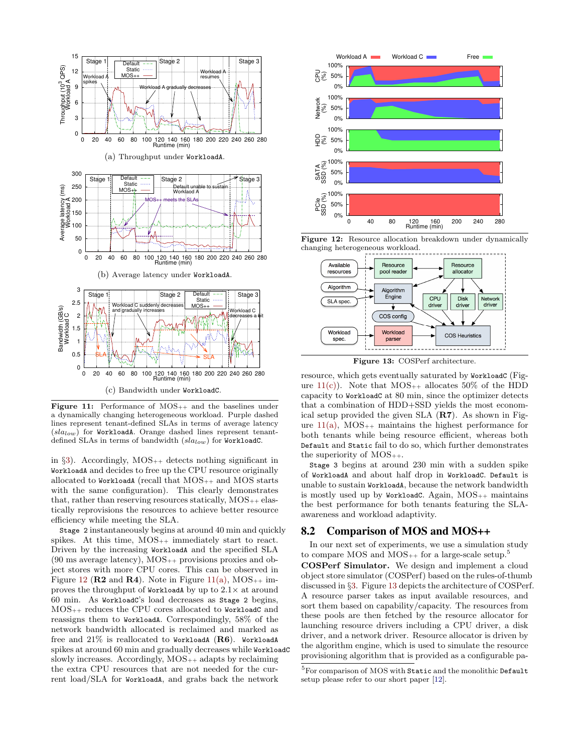<span id="page-9-0"></span>

<span id="page-9-2"></span><span id="page-9-1"></span>**Figure 11:** Performance of  $MOS_{++}$  and the baselines under a dynamically changing heterogeneous workload. Purple dashed lines represent tenant-defined SLAs in terms of average latency  $(sla_{low})$  for WorkloadA. Orange dashed lines represent tenantdefined SLAs in terms of bandwidth  $(sla_{low})$  for WorkloadC.

in  $\S3$ ). Accordingly, MOS<sub>++</sub> detects nothing significant in WorkloadA and decides to free up the CPU resource originally allocated to WorkloadA (recall that  $MOS_{++}$  and  $MOS$  starts with the same configuration). This clearly demonstrates that, rather than reserving resources statically,  $MOS_{++}$  elastically reprovisions the resources to achieve better resource efficiency while meeting the SLA.

Stage 2 instantaneously begins at around 40 min and quickly spikes. At this time,  $MOS_{++}$  immediately start to react. Driven by the increasing WorkloadA and the specified SLA  $(90 \text{ ms average latency})$ ,  $MOS_{++}$  provisions proxies and object stores with more CPU cores. This can be observed in Figure [12](#page-9-3) ( $\mathbb{R}^2$  and  $\mathbb{R}^4$ ). Note in Figure [11\(a\),](#page-9-0) MOS<sub>++</sub> improves the throughput of WorkloadA by up to  $2.1\times$  at around 60 min. As WorkloadC's load decreases as Stage 2 begins, MOS++ reduces the CPU cores allocated to WorkloadC and reassigns them to WorkloadA. Correspondingly, 58% of the network bandwidth allocated is reclaimed and marked as free and  $21\%$  is reallocated to WorkloadA ( $\mathbf{R6}$ ). WorkloadA spikes at around 60 min and gradually decreases while WorkloadC slowly increases. Accordingly,  $MOS_{++}$  adapts by reclaiming the extra CPU resources that are not needed for the current load/SLA for WorkloadA, and grabs back the network

<span id="page-9-3"></span>

<span id="page-9-4"></span>Figure 12: Resource allocation breakdown under dynamically changing heterogeneous workload.



Figure 13: COSPerf architecture.

resource, which gets eventually saturated by WorkloadC (Figure  $11(c)$ ). Note that  $MOS_{++}$  allocates 50% of the HDD capacity to WorkloadC at 80 min, since the optimizer detects that a combination of HDD+SSD yields the most economical setup provided the given SLA (R7). As shown in Figure  $11(a)$ ,  $MOS_{++}$  maintains the highest performance for both tenants while being resource efficient, whereas both Default and Static fail to do so, which further demonstrates the superiority of  $MOS_{++}$ .

Stage 3 begins at around 230 min with a sudden spike of WorkloadA and about half drop in WorkloadC. Default is unable to sustain WorkloadA, because the network bandwidth is mostly used up by WorkloadC. Again,  $MOS_{++}$  maintains the best performance for both tenants featuring the SLAawareness and workload adaptivity.

#### 8.2 Comparison of MOS and MOS++

In our next set of experiments, we use a simulation study to compare MOS and  $MOS_{++}$  for a large-scale setup.<sup>5</sup>

COSPerf Simulator. We design and implement a cloud object store simulator (COSPerf) based on the rules-of-thumb discussed in §[3](#page-3-2). Figure [13](#page-9-4) depicts the architecture of COSPerf. A resource parser takes as input available resources, and sort them based on capability/capacity. The resources from these pools are then fetched by the resource allocator for launching resource drivers including a CPU driver, a disk driver, and a network driver. Resource allocator is driven by the algorithm engine, which is used to simulate the resource provisioning algorithm that is provided as a configurable pa-

<sup>&</sup>lt;sup>5</sup>For comparison of MOS with Static and the monolithic Default setup please refer to our short paper [\[12\]](#page-11-34).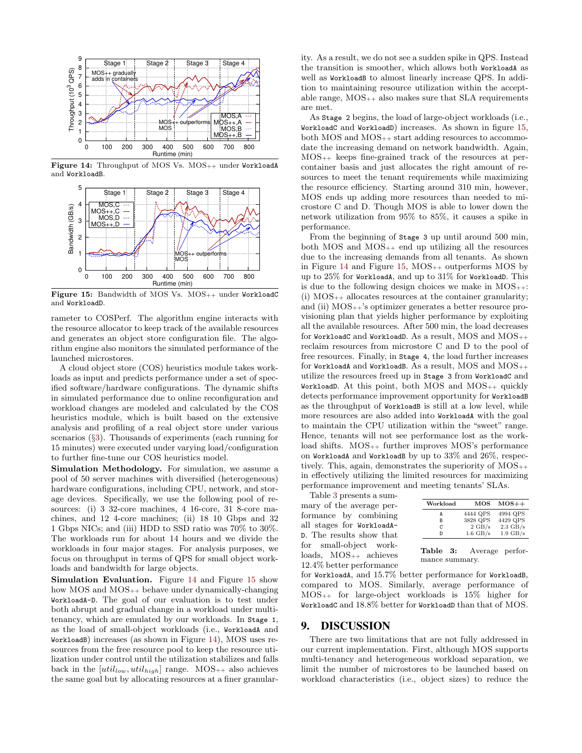<span id="page-10-0"></span>

<span id="page-10-1"></span>Figure 14: Throughput of MOS Vs. MOS++ under WorkloadA and WorkloadB.



Figure 15: Bandwidth of MOS Vs. MOS<sub>++</sub> under WorkloadC and WorkloadD.

rameter to COSPerf. The algorithm engine interacts with the resource allocator to keep track of the available resources and generates an object store configuration file. The algorithm engine also monitors the simulated performance of the launched microstores.

A cloud object store (COS) heuristics module takes workloads as input and predicts performance under a set of specified software/hardware configurations. The dynamic shifts in simulated performance due to online reconfiguration and workload changes are modeled and calculated by the COS heuristics module, which is built based on the extensive analysis and profiling of a real object store under various scenarios (§[3\)](#page-3-2). Thousands of experiments (each running for 15 minutes) were executed under varying load/configuration to further fine-tune our COS heuristics model.

Simulation Methodology. For simulation, we assume a pool of 50 server machines with diversified (heterogeneous) hardware configurations, including CPU, network, and storage devices. Specifically, we use the following pool of resources: (i) 3 32-core machines, 4 16-core, 31 8-core machines, and 12 4-core machines; (ii) 18 10 Gbps and 32 1 Gbps NICs; and (iii) HDD to SSD ratio was 70% to 30%. The workloads run for about 14 hours and we divide the workloads in four major stages. For analysis purposes, we focus on throughput in terms of QPS for small object workloads and bandwidth for large objects.

Simulation Evaluation. Figure [14](#page-10-0) and Figure [15](#page-10-1) show how MOS and MOS++ behave under dynamically-changing WorkloadA-D. The goal of our evaluation is to test under both abrupt and gradual change in a workload under multitenancy, which are emulated by our workloads. In Stage 1, as the load of small-object workloads (i.e., WorkloadA and WorkloadB) increases (as shown in Figure [14\)](#page-10-0), MOS uses resources from the free resource pool to keep the resource utilization under control until the utilization stabilizes and falls back in the  $[util_{low}, util_{high}]$  range. MOS<sub>++</sub> also achieves the same goal but by allocating resources at a finer granularity. As a result, we do not see a sudden spike in QPS. Instead the transition is smoother, which allows both WorkloadA as well as WorkloadB to almost linearly increase QPS. In addition to maintaining resource utilization within the acceptable range,  $MOS_{++}$  also makes sure that SLA requirements are met.

As Stage 2 begins, the load of large-object workloads (i.e., WorkloadC and WorkloadD) increases. As shown in figure [15,](#page-10-1) both MOS and MOS++ start adding resources to accommodate the increasing demand on network bandwidth. Again, MOS++ keeps fine-grained track of the resources at percontainer basis and just allocates the right amount of resources to meet the tenant requirements while maximizing the resource efficiency. Starting around 310 min, however, MOS ends up adding more resources than needed to microstore C and D. Though MOS is able to lower down the network utilization from 95% to 85%, it causes a spike in performance.

From the beginning of Stage 3 up until around 500 min, both MOS and MOS++ end up utilizing all the resources due to the increasing demands from all tenants. As shown in Figure [14](#page-10-0) and Figure [15,](#page-10-1)  $MOS_{++}$  outperforms  $MOS$  by up to 25% for WorkloadA, and up to 31% for WorkloadD. This is due to the following design choices we make in  $MOS_{++}$ : (i)  $MOS_{++}$  allocates resources at the container granularity; and (ii)  $MOS_{++}$ 's optimizer generates a better resource provisioning plan that yields higher performance by exploiting all the available resources. After 500 min, the load decreases for WorkloadC and WorkloadD. As a result,  $MOS$  and  $MOS_{++}$ reclaim resources from microstore C and D to the pool of free resources. Finally, in Stage 4, the load further increases for WorkloadA and WorkloadB. As a result, MOS and MOS<sub>++</sub> utilize the resources freed up in Stage 3 from WorkloadC and WorkloadD. At this point, both MOS and  $MOS_{++}$  quickly detects performance improvement opportunity for WorkloadB as the throughput of WorkloadB is still at a low level, while more resources are also added into WorkloadA with the goal to maintain the CPU utilization within the "sweet" range. Hence, tenants will not see performance lost as the workload shifts.  $MOS_{++}$  further improves MOS's performance on WorkloadA and WorkloadB by up to 33% and 26%, respectively. This, again, demonstrates the superiority of  $MOS_{++}$ in effectively utilizing the limited resources for maximizing performance improvement and meeting tenants' SLAs.

Table [3](#page-10-2) presents a summary of the average performance by combining all stages for WorkloadA-D. The results show that for small-object workloads, MOS++ achieves 12.4% better performance

<span id="page-10-2"></span>

| Workload | MOS              | $MOS++$            |
|----------|------------------|--------------------|
| А        | 4444 QPS         | 4994 QPS           |
| В        | 3828 QPS         | 4429 QPS           |
| C        | $2 \text{ GB/s}$ | $2.3 \text{ GB/s}$ |
|          | $1.6$ GB/s       | $1.9$ GB/s         |
|          |                  |                    |

Table 3: Average performance summary.

for WorkloadA, and 15.7% better performance for WorkloadB, compared to MOS. Similarly, average performance of MOS++ for large-object workloads is 15% higher for WorkloadC and 18.8% better for WorkloadD than that of MOS.

#### 9. DISCUSSION

There are two limitations that are not fully addressed in our current implementation. First, although MOS supports multi-tenancy and heterogeneous workload separation, we limit the number of microstores to be launched based on workload characteristics (i.e., object sizes) to reduce the